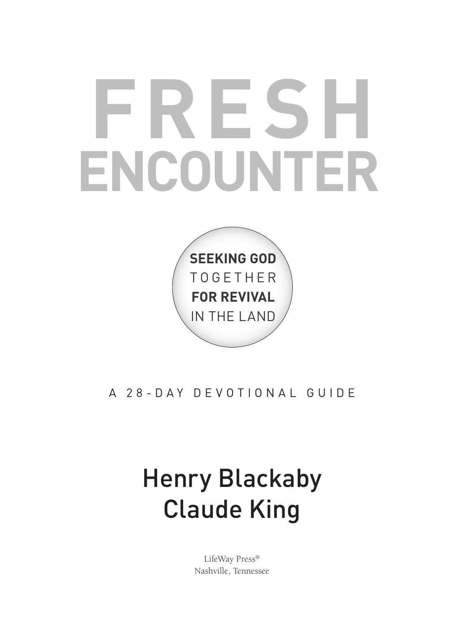# **FRESH ENCOUNTER**



## A 28-DAY DEVOTIONAL GUIDE

## Henry Blackaby Claude King

LifeWay Press® Nashville, Tennessee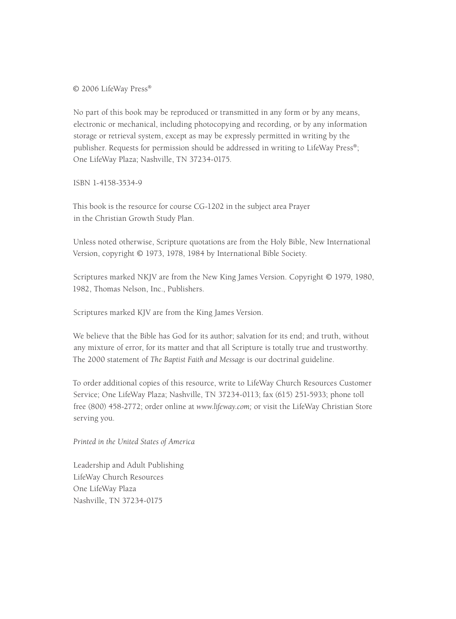© 2006 LifeWay Press®

No part of this book may be reproduced or transmitted in any form or by any means, electronic or mechanical, including photocopying and recording, or by any information storage or retrieval system, except as may be expressly permitted in writing by the publisher. Requests for permission should be addressed in writing to LifeWay Press®; One LifeWay Plaza; Nashville, TN 37234-0175.

ISBN 1-4158-3534-9

This book is the resource for course CG-1202 in the subject area Prayer in the Christian Growth Study Plan.

Unless noted otherwise, Scripture quotations are from the Holy Bible, New International Version, copyright © 1973, 1978, 1984 by International Bible Society.

Scriptures marked NKJV are from the New King James Version. Copyright © 1979, 1980, 1982, Thomas Nelson, Inc., Publishers.

Scriptures marked KJV are from the King James Version.

We believe that the Bible has God for its author; salvation for its end; and truth, without any mixture of error, for its matter and that all Scripture is totally true and trustworthy. The 2000 statement of *The Baptist Faith and Message* is our doctrinal guideline.

To order additional copies of this resource, write to LifeWay Church Resources Customer Service; One LifeWay Plaza; Nashville, TN 37234-0113; fax (615) 251-5933; phone toll free (800) 458-2772; order online at *www.lifeway.com;* or visit the LifeWay Christian Store serving you.

*Printed in the United States of America*

Leadership and Adult Publishing LifeWay Church Resources One LifeWay Plaza Nashville, TN 37234-0175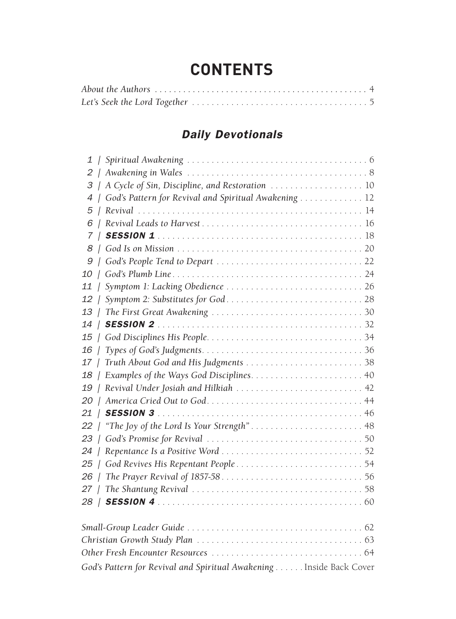## **Contents**

#### *Daily Devotionals*

|                |                  | 3   A Cycle of Sin, Discipline, and Restoration  10  |
|----------------|------------------|------------------------------------------------------|
| $\overline{A}$ |                  | God's Pattern for Revival and Spiritual Awakening 12 |
|                |                  |                                                      |
| 6              |                  |                                                      |
|                |                  |                                                      |
| 8              |                  |                                                      |
| 9              |                  |                                                      |
| 10             |                  |                                                      |
| 11             |                  |                                                      |
|                |                  |                                                      |
| 13             |                  |                                                      |
|                |                  |                                                      |
|                |                  |                                                      |
| 16             | $\left  \right $ |                                                      |
|                |                  |                                                      |
|                |                  |                                                      |
|                |                  | 19   Revival Under Josiah and Hilkiah  42            |
|                |                  |                                                      |
|                |                  |                                                      |
| 22             |                  |                                                      |
| 23             |                  |                                                      |
| 24             |                  |                                                      |
| 25             |                  |                                                      |
| 26             |                  |                                                      |
|                |                  |                                                      |
|                |                  |                                                      |
|                |                  |                                                      |
|                |                  |                                                      |
|                |                  |                                                      |

God's Pattern for Revival and Spiritual Awakening . . . . . . Inside Back Cover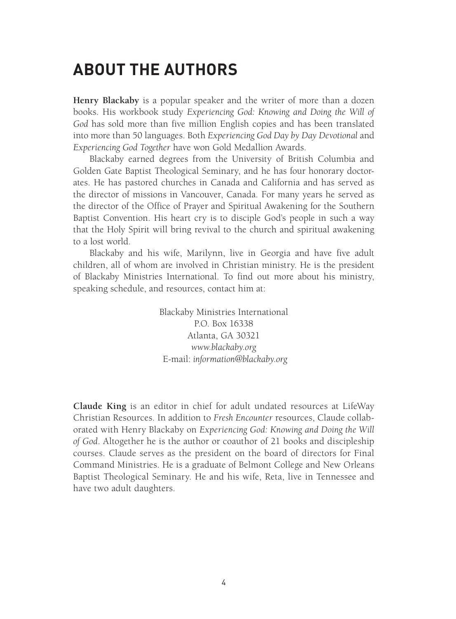## **About the Authors**

**Henry Blackaby** is a popular speaker and the writer of more than a dozen books. His workbook study *Experiencing God: Knowing and Doing the Will of God* has sold more than five million English copies and has been translated into more than 50 languages. Both *Experiencing God Day by Day Devotional* and *Experiencing God Together* have won Gold Medallion Awards.

Blackaby earned degrees from the University of British Columbia and Golden Gate Baptist Theological Seminary, and he has four honorary doctorates. He has pastored churches in Canada and California and has served as the director of missions in Vancouver, Canada. For many years he served as the director of the Office of Prayer and Spiritual Awakening for the Southern Baptist Convention. His heart cry is to disciple God's people in such a way that the Holy Spirit will bring revival to the church and spiritual awakening to a lost world.

Blackaby and his wife, Marilynn, live in Georgia and have five adult children, all of whom are involved in Christian ministry. He is the president of Blackaby Ministries International. To find out more about his ministry, speaking schedule, and resources, contact him at:

> Blackaby Ministries International P.O. Box 16338 Atlanta, GA 30321 *www.blackaby.org* E-mail: *information@blackaby.org*

**Claude King** is an editor in chief for adult undated resources at LifeWay Christian Resources. In addition to *Fresh Encounter* resources, Claude collaborated with Henry Blackaby on *Experiencing God: Knowing and Doing the Will of God*. Altogether he is the author or coauthor of 21 books and discipleship courses. Claude serves as the president on the board of directors for Final Command Ministries. He is a graduate of Belmont College and New Orleans Baptist Theological Seminary. He and his wife, Reta, live in Tennessee and have two adult daughters.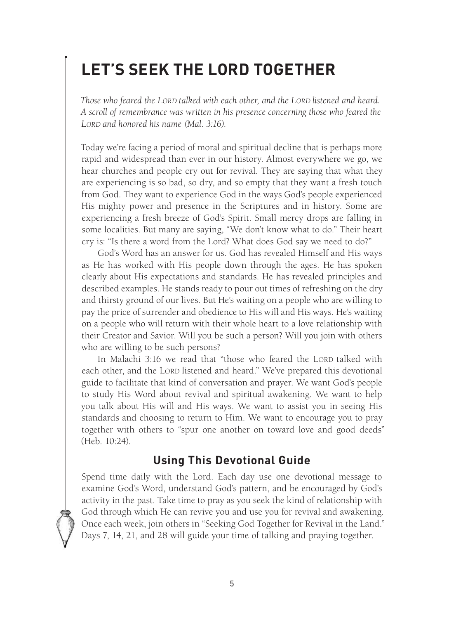## **Let's Seek the Lord Together**

*Those who feared the LORD talked with each other, and the LORD listened and heard. A scroll of remembrance was written in his presence concerning those who feared the LORD and honored his name (Mal. 3:16).*

Today we're facing a period of moral and spiritual decline that is perhaps more rapid and widespread than ever in our history. Almost everywhere we go, we hear churches and people cry out for revival. They are saying that what they are experiencing is so bad, so dry, and so empty that they want a fresh touch from God. They want to experience God in the ways God's people experienced His mighty power and presence in the Scriptures and in history. Some are experiencing a fresh breeze of God's Spirit. Small mercy drops are falling in some localities. But many are saying, "We don't know what to do." Their heart cry is: "Is there a word from the Lord? What does God say we need to do?"

God's Word has an answer for us. God has revealed Himself and His ways as He has worked with His people down through the ages. He has spoken clearly about His expectations and standards. He has revealed principles and described examples. He stands ready to pour out times of refreshing on the dry and thirsty ground of our lives. But He's waiting on a people who are willing to pay the price of surrender and obedience to His will and His ways. He's waiting on a people who will return with their whole heart to a love relationship with their Creator and Savior. Will you be such a person? Will you join with others who are willing to be such persons?

In Malachi 3:16 we read that "those who feared the LORD talked with each other, and the LORD listened and heard." We've prepared this devotional guide to facilitate that kind of conversation and prayer. We want God's people to study His Word about revival and spiritual awakening. We want to help you talk about His will and His ways. We want to assist you in seeing His standards and choosing to return to Him. We want to encourage you to pray together with others to "spur one another on toward love and good deeds" (Heb. 10:24).

#### **Using This Devotional Guide**

Spend time daily with the Lord. Each day use one devotional message to examine God's Word, understand God's pattern, and be encouraged by God's activity in the past. Take time to pray as you seek the kind of relationship with God through which He can revive you and use you for revival and awakening. Once each week, join others in "Seeking God Together for Revival in the Land." Days 7, 14, 21, and 28 will guide your time of talking and praying together.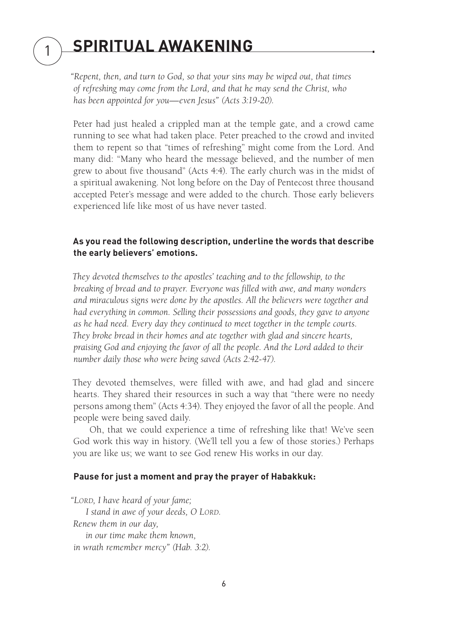## **Spiritual Awakening**

1

*"Repent, then, and turn to God, so that your sins may be wiped out, that times of refreshing may come from the Lord, and that he may send the Christ, who has been appointed for you—even Jesus" (Acts 3:19-20).*

Peter had just healed a crippled man at the temple gate, and a crowd came running to see what had taken place. Peter preached to the crowd and invited them to repent so that "times of refreshing" might come from the Lord. And many did: "Many who heard the message believed, and the number of men grew to about five thousand" (Acts 4:4). The early church was in the midst of a spiritual awakening. Not long before on the Day of Pentecost three thousand accepted Peter's message and were added to the church. Those early believers experienced life like most of us have never tasted.

#### **As you read the following description, underline the words that describe the early believers' emotions.**

*They devoted themselves to the apostles' teaching and to the fellowship, to the breaking of bread and to prayer. Everyone was filled with awe, and many wonders and miraculous signs were done by the apostles. All the believers were together and had everything in common. Selling their possessions and goods, they gave to anyone as he had need. Every day they continued to meet together in the temple courts. They broke bread in their homes and ate together with glad and sincere hearts, praising God and enjoying the favor of all the people. And the Lord added to their number daily those who were being saved (Acts 2:42-47).*

They devoted themselves, were filled with awe, and had glad and sincere hearts. They shared their resources in such a way that "there were no needy persons among them" (Acts 4:34). They enjoyed the favor of all the people. And people were being saved daily.

Oh, that we could experience a time of refreshing like that! We've seen God work this way in history. (We'll tell you a few of those stories.) Perhaps you are like us; we want to see God renew His works in our day.

#### **Pause for just a moment and pray the prayer of Habakkuk:**

*"LORD, I have heard of your fame;* 

 *I stand in awe of your deeds, O LORD. Renew them in our day, in our time make them known, in wrath remember mercy" (Hab. 3:2).*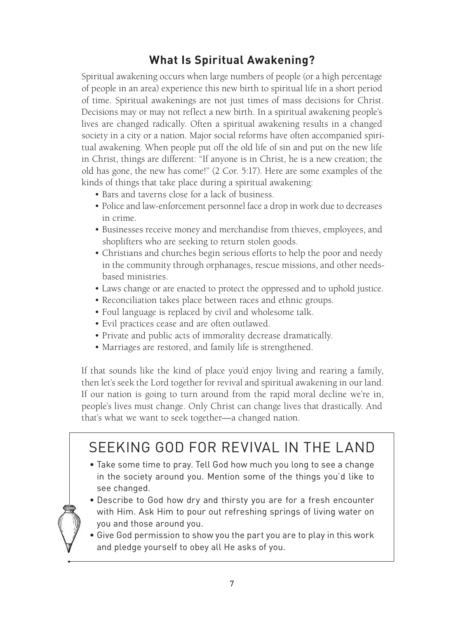## **What Is Spiritual Awakening?**

Spiritual awakening occurs when large numbers of people (or a high percentage of people in an area) experience this new birth to spiritual life in a short period of time. Spiritual awakenings are not just times of mass decisions for Christ. Decisions may or may not reflect a new birth. In a spiritual awakening people's lives are changed radically. Often a spiritual awakening results in a changed society in a city or a nation. Major social reforms have often accompanied spiritual awakening. When people put off the old life of sin and put on the new life in Christ, things are different: "If anyone is in Christ, he is a new creation; the old has gone, the new has come!" (2 Cor. 5:17). Here are some examples of the kinds of things that take place during a spiritual awakening:

- Bars and taverns close for a lack of business.
- Police and law-enforcement personnel face a drop in work due to decreases in crime.
- Businesses receive money and merchandise from thieves, employees, and shoplifters who are seeking to return stolen goods.
- Christians and churches begin serious efforts to help the poor and needy in the community through orphanages, rescue missions, and other needsbased ministries.
- Laws change or are enacted to protect the oppressed and to uphold justice.
- Reconciliation takes place between races and ethnic groups.
- Foul language is replaced by civil and wholesome talk.
- Evil practices cease and are often outlawed.
- Private and public acts of immorality decrease dramatically.
- Marriages are restored, and family life is strengthened.

If that sounds like the kind of place you'd enjoy living and rearing a family, then let's seek the Lord together for revival and spiritual awakening in our land. If our nation is going to turn around from the rapid moral decline we're in, people's lives must change. Only Christ can change lives that drastically. And that's what we want to seek together—a changed nation.

## SEEKING GOD FOR REVIVAL IN THE LAND

• Take some time to pray. Tell God how much you long to see a change in the society around you. Mention some of the things you'd like to see changed.



- Describe to God how dry and thirsty you are for a fresh encounter with Him. Ask Him to pour out refreshing springs of living water on you and those around you.
- Give God permission to show you the part you are to play in this work and pledge yourself to obey all He asks of you.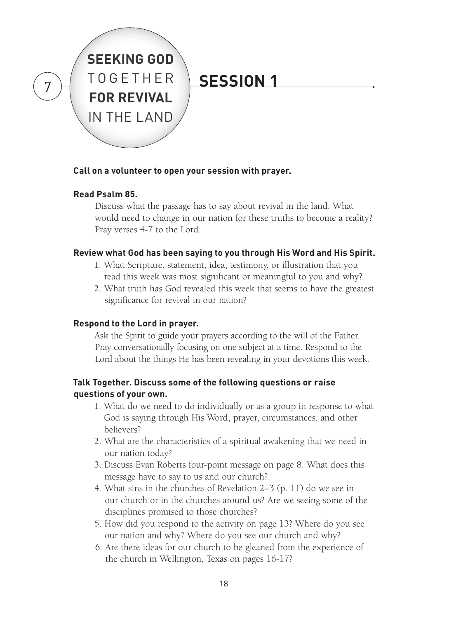

#### **Call on a volunteer to open your session with prayer.**

#### **Read Psalm 85.**

Discuss what the passage has to say about revival in the land. What would need to change in our nation for these truths to become a reality? Pray verses 4-7 to the Lord.

#### **Review what God has been saying to you through His Word and His Spirit.**

- 1. What Scripture, statement, idea, testimony, or illustration that you read this week was most significant or meaningful to you and why?
- 2. What truth has God revealed this week that seems to have the greatest significance for revival in our nation?

#### **Respond to the Lord in prayer.**

Ask the Spirit to guide your prayers according to the will of the Father. Pray conversationally focusing on one subject at a time. Respond to the Lord about the things He has been revealing in your devotions this week.

#### **Talk Together. Discuss some of the following questions or raise questions of your own.**

- 1. What do we need to do individually or as a group in response to what God is saying through His Word, prayer, circumstances, and other believers?
- 2. What are the characteristics of a spiritual awakening that we need in our nation today?
- 3. Discuss Evan Roberts four-point message on page 8. What does this message have to say to us and our church?
- 4. What sins in the churches of Revelation 2–3 (p. 11) do we see in our church or in the churches around us? Are we seeing some of the disciplines promised to those churches?
- 5. How did you respond to the activity on page 13? Where do you see our nation and why? Where do you see our church and why?
- 6. Are there ideas for our church to be gleaned from the experience of the church in Wellington, Texas on pages 16-17?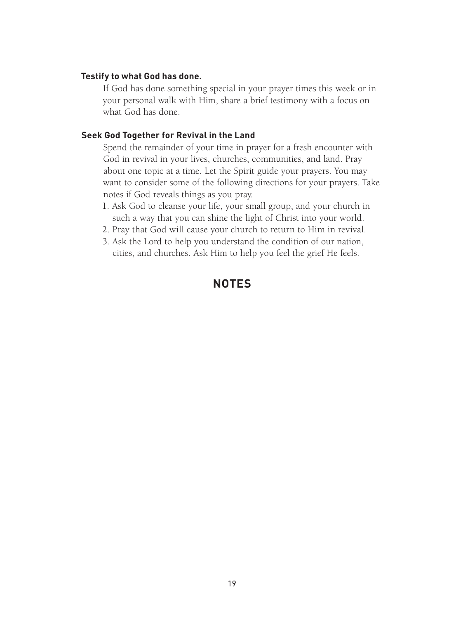#### **Testify to what God has done.**

If God has done something special in your prayer times this week or in your personal walk with Him, share a brief testimony with a focus on what God has done.

#### **Seek God Together for Revival in the Land**

Spend the remainder of your time in prayer for a fresh encounter with God in revival in your lives, churches, communities, and land. Pray about one topic at a time. Let the Spirit guide your prayers. You may want to consider some of the following directions for your prayers. Take notes if God reveals things as you pray.

- 1. Ask God to cleanse your life, your small group, and your church in such a way that you can shine the light of Christ into your world.
- 2. Pray that God will cause your church to return to Him in revival.
- 3. Ask the Lord to help you understand the condition of our nation, cities, and churches. Ask Him to help you feel the grief He feels.

#### **NOTES**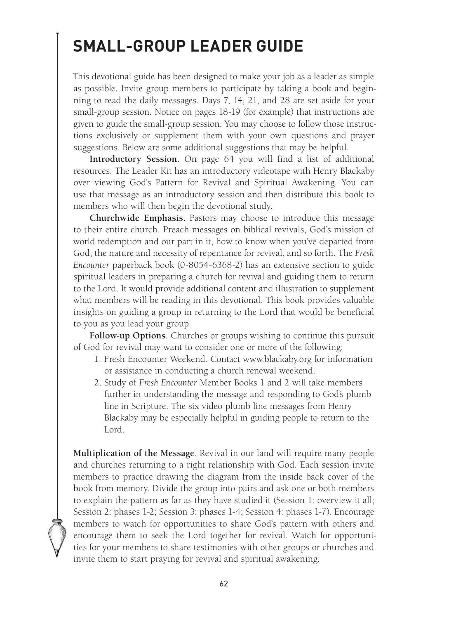## **Small-Group Leader Guide**

This devotional guide has been designed to make your job as a leader as simple as possible. Invite group members to participate by taking a book and beginning to read the daily messages. Days 7, 14, 21, and 28 are set aside for your small-group session. Notice on pages 18-19 (for example) that instructions are given to guide the small-group session. You may choose to follow those instructions exclusively or supplement them with your own questions and prayer suggestions. Below are some additional suggestions that may be helpful.

**Introductory Session.** On page 64 you will find a list of additional resources. The Leader Kit has an introductory videotape with Henry Blackaby over viewing God's Pattern for Revival and Spiritual Awakening. You can use that message as an introductory session and then distribute this book to members who will then begin the devotional study.

**Churchwide Emphasis.** Pastors may choose to introduce this message to their entire church. Preach messages on biblical revivals, God's mission of world redemption and our part in it, how to know when you've departed from God, the nature and necessity of repentance for revival, and so forth. The *Fresh Encounter* paperback book (0-8054-6368-2) has an extensive section to guide spiritual leaders in preparing a church for revival and guiding them to return to the Lord. It would provide additional content and illustration to supplement what members will be reading in this devotional. This book provides valuable insights on guiding a group in returning to the Lord that would be beneficial to you as you lead your group.

**Follow-up Options.** Churches or groups wishing to continue this pursuit of God for revival may want to consider one or more of the following:

- 1. Fresh Encounter Weekend. Contact www.blackaby.org for information or assistance in conducting a church renewal weekend.
- 2. Study of *Fresh Encounter* Member Books 1 and 2 will take members further in understanding the message and responding to God's plumb line in Scripture. The six video plumb line messages from Henry Blackaby may be especially helpful in guiding people to return to the Lord.

**Multiplication of the Message**. Revival in our land will require many people and churches returning to a right relationship with God. Each session invite members to practice drawing the diagram from the inside back cover of the book from memory. Divide the group into pairs and ask one or both members to explain the pattern as far as they have studied it (Session 1: overview it all; Session 2: phases 1-2; Session 3: phases 1-4; Session 4: phases 1-7). Encourage members to watch for opportunities to share God's pattern with others and encourage them to seek the Lord together for revival. Watch for opportunities for your members to share testimonies with other groups or churches and invite them to start praying for revival and spiritual awakening.